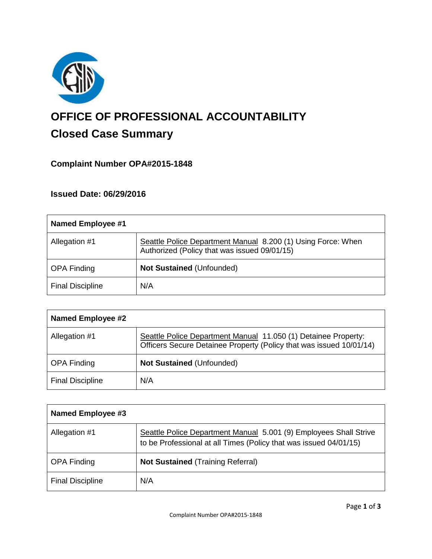

# **OFFICE OF PROFESSIONAL ACCOUNTABILITY Closed Case Summary**

## **Complaint Number OPA#2015-1848**

## **Issued Date: 06/29/2016**

| <b>Named Employee #1</b> |                                                                                                              |
|--------------------------|--------------------------------------------------------------------------------------------------------------|
| Allegation #1            | Seattle Police Department Manual 8.200 (1) Using Force: When<br>Authorized (Policy that was issued 09/01/15) |
| <b>OPA Finding</b>       | Not Sustained (Unfounded)                                                                                    |
| <b>Final Discipline</b>  | N/A                                                                                                          |

| <b>Named Employee #2</b> |                                                                                                                                       |
|--------------------------|---------------------------------------------------------------------------------------------------------------------------------------|
| Allegation #1            | Seattle Police Department Manual 11.050 (1) Detainee Property:<br>Officers Secure Detainee Property (Policy that was issued 10/01/14) |
| <b>OPA Finding</b>       | <b>Not Sustained (Unfounded)</b>                                                                                                      |
| <b>Final Discipline</b>  | N/A                                                                                                                                   |

| <b>Named Employee #3</b> |                                                                                                                                        |
|--------------------------|----------------------------------------------------------------------------------------------------------------------------------------|
| Allegation #1            | Seattle Police Department Manual 5.001 (9) Employees Shall Strive<br>to be Professional at all Times (Policy that was issued 04/01/15) |
| <b>OPA Finding</b>       | <b>Not Sustained (Training Referral)</b>                                                                                               |
| <b>Final Discipline</b>  | N/A                                                                                                                                    |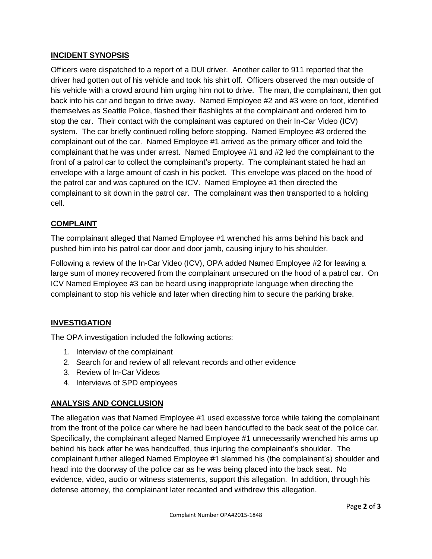## **INCIDENT SYNOPSIS**

Officers were dispatched to a report of a DUI driver. Another caller to 911 reported that the driver had gotten out of his vehicle and took his shirt off. Officers observed the man outside of his vehicle with a crowd around him urging him not to drive. The man, the complainant, then got back into his car and began to drive away. Named Employee #2 and #3 were on foot, identified themselves as Seattle Police, flashed their flashlights at the complainant and ordered him to stop the car. Their contact with the complainant was captured on their In-Car Video (ICV) system. The car briefly continued rolling before stopping. Named Employee #3 ordered the complainant out of the car. Named Employee #1 arrived as the primary officer and told the complainant that he was under arrest. Named Employee #1 and #2 led the complainant to the front of a patrol car to collect the complainant's property. The complainant stated he had an envelope with a large amount of cash in his pocket. This envelope was placed on the hood of the patrol car and was captured on the ICV. Named Employee #1 then directed the complainant to sit down in the patrol car. The complainant was then transported to a holding cell.

## **COMPLAINT**

The complainant alleged that Named Employee #1 wrenched his arms behind his back and pushed him into his patrol car door and door jamb, causing injury to his shoulder.

Following a review of the In-Car Video (ICV), OPA added Named Employee #2 for leaving a large sum of money recovered from the complainant unsecured on the hood of a patrol car. On ICV Named Employee #3 can be heard using inappropriate language when directing the complainant to stop his vehicle and later when directing him to secure the parking brake.

## **INVESTIGATION**

The OPA investigation included the following actions:

- 1. Interview of the complainant
- 2. Search for and review of all relevant records and other evidence
- 3. Review of In-Car Videos
- 4. Interviews of SPD employees

## **ANALYSIS AND CONCLUSION**

The allegation was that Named Employee #1 used excessive force while taking the complainant from the front of the police car where he had been handcuffed to the back seat of the police car. Specifically, the complainant alleged Named Employee #1 unnecessarily wrenched his arms up behind his back after he was handcuffed, thus injuring the complainant's shoulder. The complainant further alleged Named Employee #1 slammed his (the complainant's) shoulder and head into the doorway of the police car as he was being placed into the back seat. No evidence, video, audio or witness statements, support this allegation. In addition, through his defense attorney, the complainant later recanted and withdrew this allegation.